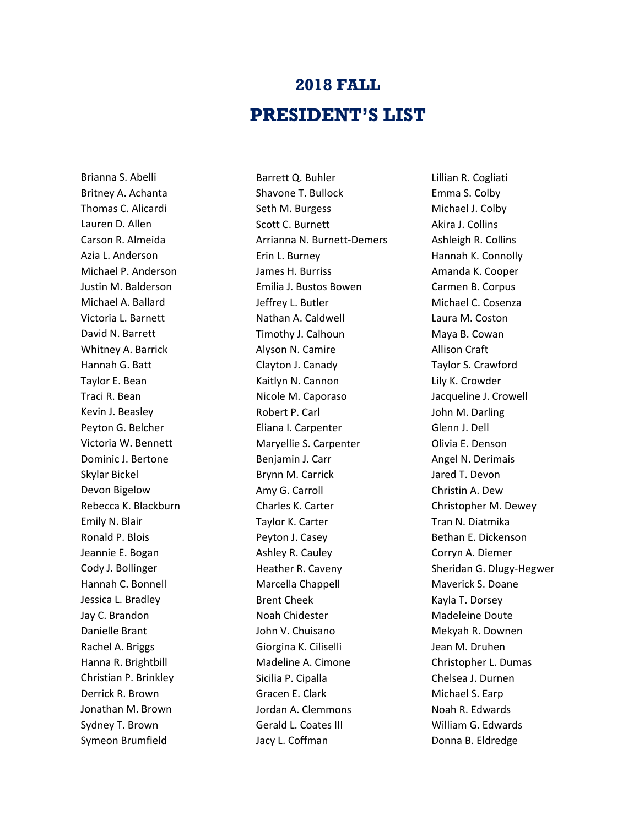## **2018 FALL PRESIDENT'S LIST**

Brianna S. Abelli Britney A. Achanta Thomas C. Alicardi Lauren D. Allen Carson R. Almeida Azia L. Anderson Michael P. Anderson Justin M. Balderson Michael A. Ballard Victoria L. Barnett David N. Barrett Whitney A. Barrick Hannah G. Batt Taylor E. Bean Traci R. Bean Kevin J. Beasley Peyton G. Belcher Victoria W. Bennett Dominic J. Bertone Skylar Bickel Devon Bigelow Rebecca K. Blackburn Emily N. Blair Ronald P. Blois Jeannie E. Bogan Cody J. Bollinger Hannah C. Bonnell Jessica L. Bradley Jay C. Brandon Danielle Brant Rachel A. Briggs Hanna R. Brightbill Christian P. Brinkley Derrick R. Brown Jonathan M. Brown Sydney T. Brown Symeon Brumfield

Barrett Q. Buhler Shavone T. Bullock Seth M. Burgess Scott C. Burnett Arrianna N. Burnett-Demers Erin L. Burney James H. Burriss Emilia J. Bustos Bowen Jeffrey L. Butler Nathan A. Caldwell Timothy J. Calhoun Alyson N. Camire Clayton J. Canady Kaitlyn N. Cannon Nicole M. Caporaso Robert P. Carl Eliana I. Carpenter Maryellie S. Carpenter Benjamin J. Carr Brynn M. Carrick Amy G. Carroll Charles K. Carter Taylor K. Carter Peyton J. Casey Ashley R. Cauley Heather R. Caveny Marcella Chappell Brent Cheek Noah Chidester John V. Chuisano Giorgina K. Ciliselli Madeline A. Cimone Sicilia P. Cipalla Gracen E. Clark Jordan A. Clemmons Gerald L. Coates III Jacy L. Coffman

Lillian R. Cogliati Emma S. Colby Michael J. Colby Akira J. Collins Ashleigh R. Collins Hannah K. Connolly Amanda K. Cooper Carmen B. Corpus Michael C. Cosenza Laura M. Coston Maya B. Cowan Allison Craft Taylor S. Crawford Lily K. Crowder Jacqueline J. Crowell John M. Darling Glenn J. Dell Olivia E. Denson Angel N. Derimais Jared T. Devon Christin A. Dew Christopher M. Dewey Tran N. Diatmika Bethan E. Dickenson Corryn A. Diemer Sheridan G. Dlugy-Hegwer Maverick S. Doane Kayla T. Dorsey Madeleine Doute Mekyah R. Downen Jean M. Druhen Christopher L. Dumas Chelsea J. Durnen Michael S. Earp Noah R. Edwards William G. Edwards Donna B. Eldredge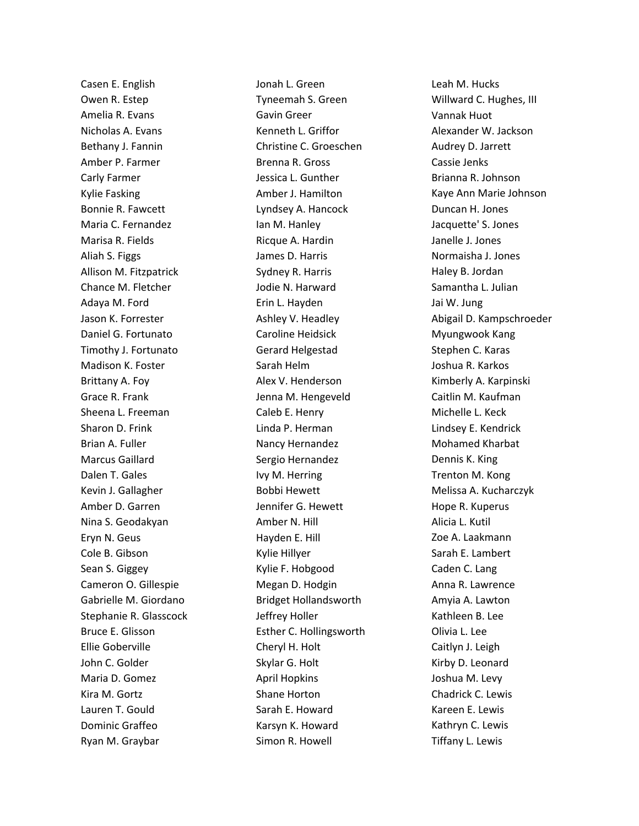Casen E. English Owen R. Estep Amelia R. Evans Nicholas A. Evans Bethany J. Fannin Amber P. Farmer Carly Farmer Kylie Fasking Bonnie R. Fawcett Maria C. Fernandez Marisa R. Fields Aliah S. Figgs Allison M. Fitzpatrick Chance M. Fletcher Adaya M. Ford Jason K. Forrester Daniel G. Fortunato Timothy J. Fortunato Madison K. Foster Brittany A. Foy Grace R. Frank Sheena L. Freeman Sharon D. Frink Brian A. Fuller Marcus Gaillard Dalen T. Gales Kevin J. Gallagher Amber D. Garren Nina S. Geodakyan Eryn N. Geus Cole B. Gibson Sean S. Giggey Cameron O. Gillespie Gabrielle M. Giordano Stephanie R. Glasscock Bruce E. Glisson Ellie Goberville John C. Golder Maria D. Gomez Kira M. Gortz Lauren T. Gould Dominic Graffeo Ryan M. Graybar

Jonah L. Green Tyneemah S. Green Gavin Greer Kenneth L. Griffor Christine C. Groeschen Brenna R. Gross Jessica L. Gunther Amber J. Hamilton Lyndsey A. Hancock Ian M. Hanley Ricque A. Hardin James D. Harris Sydney R. Harris Jodie N. Harward Erin L. Hayden Ashley V. Headley Caroline Heidsick Gerard Helgestad Sarah Helm Alex V. Henderson Jenna M. Hengeveld Caleb E. Henry Linda P. Herman Nancy Hernandez Sergio Hernandez Ivy M. Herring Bobbi Hewett Jennifer G. Hewett Amber N. Hill Hayden E. Hill Kylie Hillyer Kylie F. Hobgood Megan D. Hodgin Bridget Hollandsworth Jeffrey Holler Esther C. Hollingsworth Cheryl H. Holt Skylar G. Holt April Hopkins Shane Horton Sarah E. Howard Karsyn K. Howard Simon R. Howell

Leah M. Hucks Willward C. Hughes, III Vannak Huot Alexander W. Jackson Audrey D. Jarrett Cassie Jenks Brianna R. Johnson Kaye Ann Marie Johnson Duncan H. Jones Jacquette' S. Jones Janelle J. Jones Normaisha J. Jones Haley B. Jordan Samantha L. Julian Jai W. Jung Abigail D. Kampschroeder Myungwook Kang Stephen C. Karas Joshua R. Karkos Kimberly A. Karpinski Caitlin M. Kaufman Michelle L. Keck Lindsey E. Kendrick Mohamed Kharbat Dennis K. King Trenton M. Kong Melissa A. Kucharczyk Hope R. Kuperus Alicia L. Kutil Zoe A. Laakmann Sarah E. Lambert Caden C. Lang Anna R. Lawrence Amyia A. Lawton Kathleen B. Lee Olivia L. Lee Caitlyn J. Leigh Kirby D. Leonard Joshua M. Levy Chadrick C. Lewis Kareen E. Lewis Kathryn C. Lewis Tiffany L. Lewis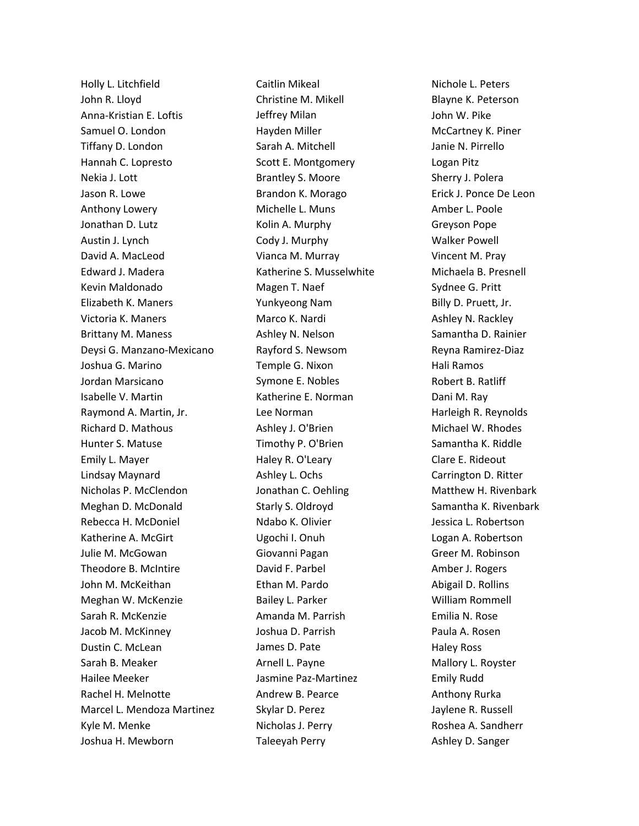Holly L. Litchfield John R. Lloyd Anna-Kristian E. Loftis Samuel O. London Tiffany D. London Hannah C. Lopresto Nekia J. Lott Jason R. Lowe Anthony Lowery Jonathan D. Lutz Austin J. Lynch David A. MacLeod Edward J. Madera Kevin Maldonado Elizabeth K. Maners Victoria K. Maners Brittany M. Maness Deysi G. Manzano-Mexicano Joshua G. Marino Jordan Marsicano Isabelle V. Martin Raymond A. Martin, Jr. Richard D. Mathous Hunter S. Matuse Emily L. Mayer Lindsay Maynard Nicholas P. McClendon Meghan D. McDonald Rebecca H. McDoniel Katherine A. McGirt Julie M. McGowan Theodore B. McIntire John M. McKeithan Meghan W. McKenzie Sarah R. McKenzie Jacob M. McKinney Dustin C. McLean Sarah B. Meaker Hailee Meeker Rachel H. Melnotte Marcel L. Mendoza Martinez Kyle M. Menke Joshua H. Mewborn

Caitlin Mikeal Christine M. Mikell Jeffrey Milan Hayden Miller Sarah A. Mitchell Scott E. Montgomery Brantley S. Moore Brandon K. Morago Michelle L. Muns Kolin A. Murphy Cody J. Murphy Vianca M. Murray Katherine S. Musselwhite Magen T. Naef Yunkyeong Nam Marco K. Nardi Ashley N. Nelson Rayford S. Newsom Temple G. Nixon Symone E. Nobles Katherine E. Norman Lee Norman Ashley J. O'Brien Timothy P. O'Brien Haley R. O'Leary Ashley L. Ochs Jonathan C. Oehling Starly S. Oldroyd Ndabo K. Olivier Ugochi I. Onuh Giovanni Pagan David F. Parbel Ethan M. Pardo Bailey L. Parker Amanda M. Parrish Joshua D. Parrish James D. Pate Arnell L. Payne Jasmine Paz-Martinez Andrew B. Pearce Skylar D. Perez Nicholas J. Perry Taleeyah Perry

Nichole L. Peters Blayne K. Peterson John W. Pike McCartney K. Piner Janie N. Pirrello Logan Pitz Sherry J. Polera Erick J. Ponce De Leon Amber L. Poole Greyson Pope Walker Powell Vincent M. Pray Michaela B. Presnell Sydnee G. Pritt Billy D. Pruett, Jr. Ashley N. Rackley Samantha D. Rainier Reyna Ramirez-Diaz Hali Ramos Robert B. Ratliff Dani M. Ray Harleigh R. Reynolds Michael W. Rhodes Samantha K. Riddle Clare E. Rideout Carrington D. Ritter Matthew H. Rivenbark Samantha K. Rivenbark Jessica L. Robertson Logan A. Robertson Greer M. Robinson Amber J. Rogers Abigail D. Rollins William Rommell Emilia N. Rose Paula A. Rosen Haley Ross Mallory L. Royster Emily Rudd Anthony Rurka Jaylene R. Russell Roshea A. Sandherr Ashley D. Sanger